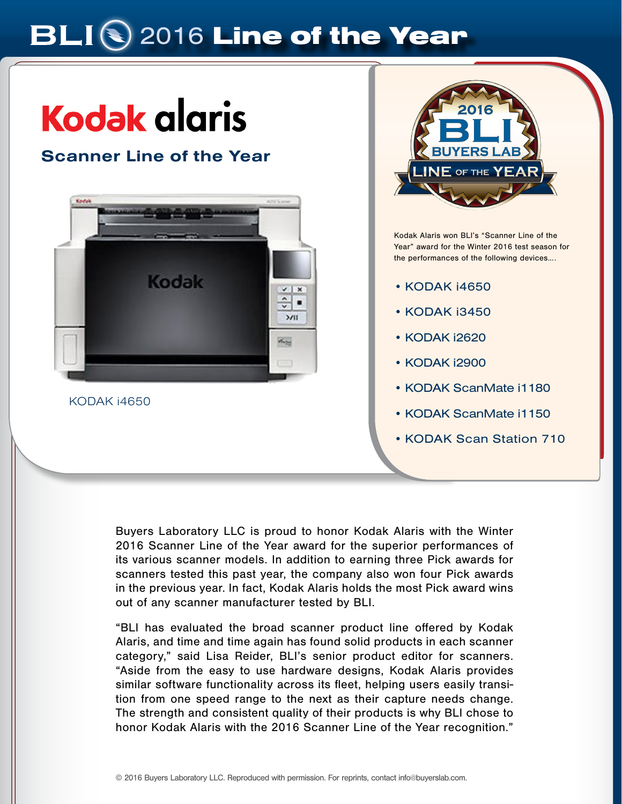# **BLIS** 2016 Line of the Year

# **Kodak alaris**

# Scanner Line of the Year



KODAK i4650



Kodak Alaris won BLI's "Scanner Line of the Year" award for the Winter 2016 test season for the performances of the following devices….

- KODAK i4650
- KODAK i3450
- KODAK i2620
- KODAK i2900
- KODAK ScanMate i1180
- KODAK ScanMate i1150
- KODAK Scan Station 710

Buyers Laboratory LLC is proud to honor Kodak Alaris with the Winter 2016 Scanner Line of the Year award for the superior performances of its various scanner models. In addition to earning three Pick awards for scanners tested this past year, the company also won four Pick awards in the previous year. In fact, Kodak Alaris holds the most Pick award wins out of any scanner manufacturer tested by BLI.

"BLI has evaluated the broad scanner product line offered by Kodak Alaris, and time and time again has found solid products in each scanner category," said Lisa Reider, BLI's senior product editor for scanners. "Aside from the easy to use hardware designs, Kodak Alaris provides similar software functionality across its fleet, helping users easily transition from one speed range to the next as their capture needs change. The strength and consistent quality of their products is why BLI chose to honor Kodak Alaris with the 2016 Scanner Line of the Year recognition."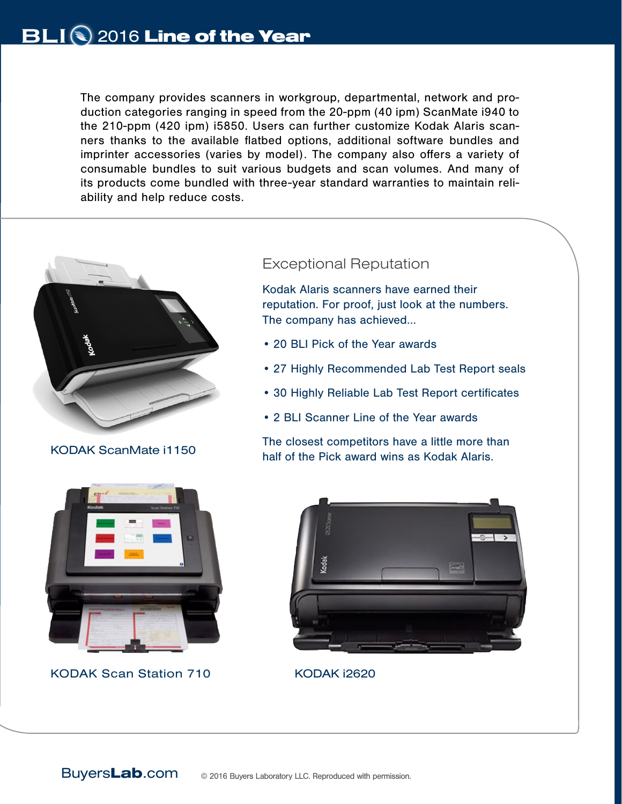The company provides scanners in workgroup, departmental, network and production categories ranging in speed from the 20-ppm (40 ipm) ScanMate i940 to the 210-ppm (420 ipm) i5850. Users can further customize Kodak Alaris scanners thanks to the available flatbed options, additional software bundles and imprinter accessories (varies by model). The company also offers a variety of consumable bundles to suit various budgets and scan volumes. And many of its products come bundled with three-year standard warranties to maintain reliability and help reduce costs.



KODAK ScanMate i1150

## Exceptional Reputation

Kodak Alaris scanners have earned their reputation. For proof, just look at the numbers. The company has achieved...

- 20 BLI Pick of the Year awards
- 27 Highly Recommended Lab Test Report seals
- 30 Highly Reliable Lab Test Report certificates
- 2 BLI Scanner Line of the Year awards



KODAK Scan Station 710 KODAK i2620



The closest competitors have a little more than

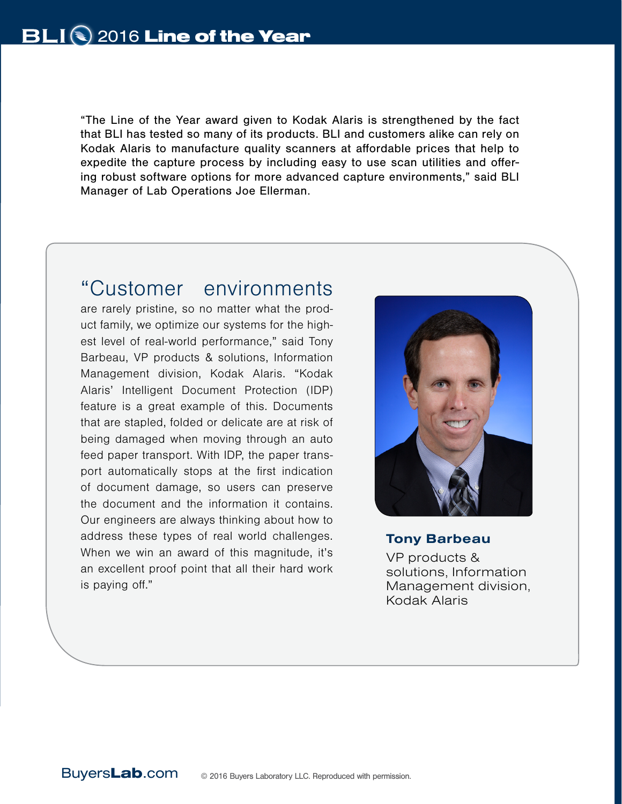"The Line of the Year award given to Kodak Alaris is strengthened by the fact that BLI has tested so many of its products. BLI and customers alike can rely on Kodak Alaris to manufacture quality scanners at affordable prices that help to expedite the capture process by including easy to use scan utilities and offering robust software options for more advanced capture environments," said BLI Manager of Lab Operations Joe Ellerman.

# "Customer environments

are rarely pristine, so no matter what the product family, we optimize our systems for the highest level of real-world performance," said Tony Barbeau, VP products & solutions, Information Management division, Kodak Alaris. "Kodak Alaris' Intelligent Document Protection (IDP) feature is a great example of this. Documents that are stapled, folded or delicate are at risk of being damaged when moving through an auto feed paper transport. With IDP, the paper transport automatically stops at the first indication of document damage, so users can preserve the document and the information it contains. Our engineers are always thinking about how to address these types of real world challenges. When we win an award of this magnitude, it's an excellent proof point that all their hard work is paying off."



## Tony Barbeau

VP products & solutions, Information Management division, Kodak Alaris